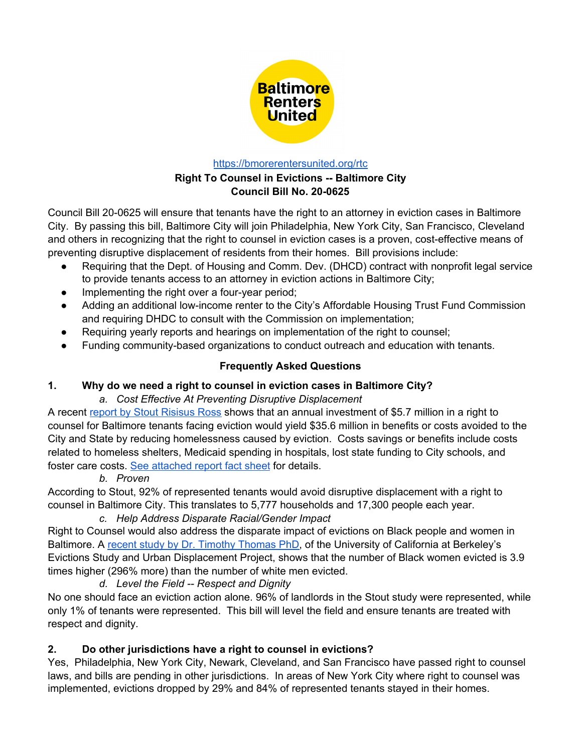

#### <https://bmorerentersunited.org/rtc>

### **Right To Counsel in Evictions -- Baltimore City Council Bill No. 20-0625**

Council Bill 20-0625 will ensure that tenants have the right to an attorney in eviction cases in Baltimore City. By passing this bill, Baltimore City will join Philadelphia, New York City, San Francisco, Cleveland and others in recognizing that the right to counsel in eviction cases is a proven, cost-effective means of preventing disruptive displacement of residents from their homes. Bill provisions include:

- Requiring that the Dept. of Housing and Comm. Dev. (DHCD) contract with nonprofit legal service to provide tenants access to an attorney in eviction actions in Baltimore City;
- Implementing the right over a four-year period;
- Adding an additional low-income renter to the City's Affordable Housing Trust Fund Commission and requiring DHDC to consult with the Commission on implementation;
- Requiring yearly reports and hearings on implementation of the right to counsel;
- Funding community-based organizations to conduct outreach and education with tenants.

# **Frequently Asked Questions**

### **1. Why do we need a right to counsel in eviction cases in Baltimore City?**

### *a. Cost Effective At Preventing Disruptive Displacement*

A recent report by Stout [Risisus](https://bmorerentersunited.org/rtc/) Ross shows that an annual investment of \$5.7 million in a right to counsel for Baltimore tenants facing eviction would yield \$35.6 million in benefits or costs avoided to the City and State by reducing homelessness caused by eviction. Costs savings or benefits include costs related to homeless shelters, Medicaid spending in hospitals, lost state funding to City schools, and foster care costs. See [attached](https://bmorerentersunited.org/rtc/2pager/) report fact sheet for details.

### *b. Proven*

According to Stout, 92% of represented tenants would avoid disruptive displacement with a right to counsel in Baltimore City. This translates to 5,777 households and 17,300 people each year.

*c. Help Address Disparate Racial/Gender Impact* Right to Counsel would also address the disparate impact of evictions on Black people and women in Baltimore. A recent study by Dr. Timothy [Thomas](https://evictions.study/maryland/report/baltimore.html) PhD, of the University of California at Berkeley's Evictions Study and Urban Displacement Project, shows that the number of Black women evicted is 3.9 times higher (296% more) than the number of white men evicted.

### *d. Level the Field -- Respect and Dignity*

No one should face an eviction action alone. 96% of landlords in the Stout study were represented, while only 1% of tenants were represented. This bill will level the field and ensure tenants are treated with respect and dignity.

# **2. Do other jurisdictions have a right to counsel in evictions?**

Yes, Philadelphia, New York City, Newark, Cleveland, and San Francisco have passed right to counsel laws, and bills are pending in other jurisdictions. In areas of New York City where right to counsel was implemented, evictions dropped by 29% and 84% of represented tenants stayed in their homes.